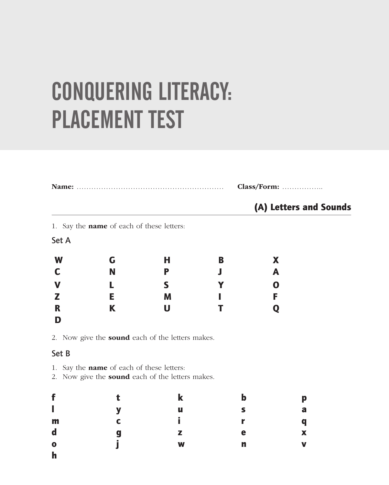# CONQUERING LITERACY: PLACEMENT TEST

|             |                                                  |   | Class/Form: |                        |  |
|-------------|--------------------------------------------------|---|-------------|------------------------|--|
|             |                                                  |   |             | (A) Letters and Sounds |  |
|             | 1. Say the <b>name</b> of each of these letters: |   |             |                        |  |
| Set A       |                                                  |   |             |                        |  |
| W           | G                                                | н | В           | X                      |  |
| C           | N                                                | Р |             | A                      |  |
| $\mathbf V$ |                                                  | S |             | O                      |  |
| Z           | E.                                               | M |             | F                      |  |
| R           | K                                                | U |             |                        |  |
| D           |                                                  |   |             |                        |  |

#### Set B

- 1. Say the name of each of these letters:
- 2. Now give the **sound** each of the letters makes.

| f                         | т. |   | b | p                         |
|---------------------------|----|---|---|---------------------------|
| $\mathbf{I}$              | V  | u |   | a                         |
| m                         | r  |   |   | $\boldsymbol{q}$          |
| $\mathbf d$               | g  | z | е | $\boldsymbol{\mathsf{X}}$ |
| $\mathbf 0$               |    | W | n | $\mathbf v$               |
| $\mathbf{L}_{\mathrm{c}}$ |    |   |   |                           |

h